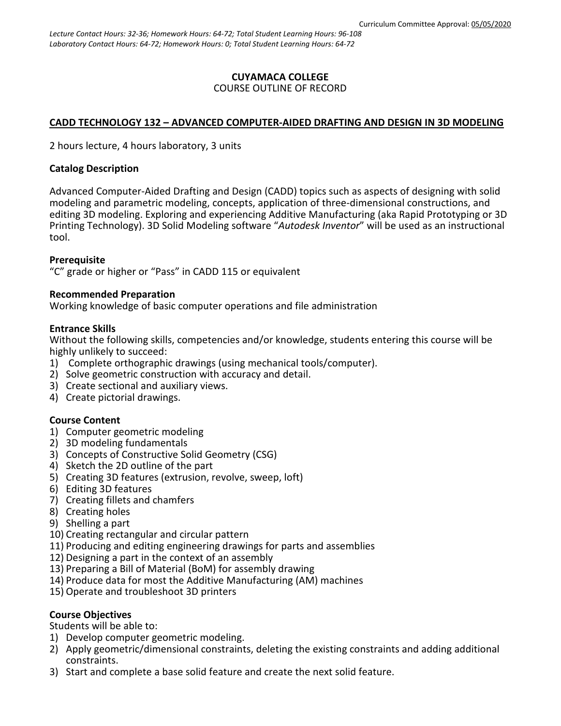# **CUYAMACA COLLEGE**

### COURSE OUTLINE OF RECORD

## **CADD TECHNOLOGY 132 – ADVANCED COMPUTER-AIDED DRAFTING AND DESIGN IN 3D MODELING**

2 hours lecture, 4 hours laboratory, 3 units

#### **Catalog Description**

Advanced Computer-Aided Drafting and Design (CADD) topics such as aspects of designing with solid modeling and parametric modeling, concepts, application of three-dimensional constructions, and editing 3D modeling. Exploring and experiencing Additive Manufacturing (aka Rapid Prototyping or 3D Printing Technology). 3D Solid Modeling software "*Autodesk Inventor*" will be used as an instructional tool.

### **Prerequisite**

"C" grade or higher or "Pass" in CADD 115 or equivalent

#### **Recommended Preparation**

Working knowledge of basic computer operations and file administration

#### **Entrance Skills**

Without the following skills, competencies and/or knowledge, students entering this course will be highly unlikely to succeed:

- 1) Complete orthographic drawings (using mechanical tools/computer).
- 2) Solve geometric construction with accuracy and detail.
- 3) Create sectional and auxiliary views.
- 4) Create pictorial drawings.

### **Course Content**

- 1) Computer geometric modeling
- 2) 3D modeling fundamentals
- 3) Concepts of Constructive Solid Geometry (CSG)
- 4) Sketch the 2D outline of the part
- 5) Creating 3D features (extrusion, revolve, sweep, loft)
- 6) Editing 3D features
- 7) Creating fillets and chamfers
- 8) Creating holes
- 9) Shelling a part
- 10) Creating rectangular and circular pattern
- 11) Producing and editing engineering drawings for parts and assemblies
- 12) Designing a part in the context of an assembly
- 13) Preparing a Bill of Material (BoM) for assembly drawing
- 14) Produce data for most the Additive Manufacturing (AM) machines
- 15) Operate and troubleshoot 3D printers

### **Course Objectives**

Students will be able to:

- 1) Develop computer geometric modeling.
- 2) Apply geometric/dimensional constraints, deleting the existing constraints and adding additional constraints.
- 3) Start and complete a base solid feature and create the next solid feature.